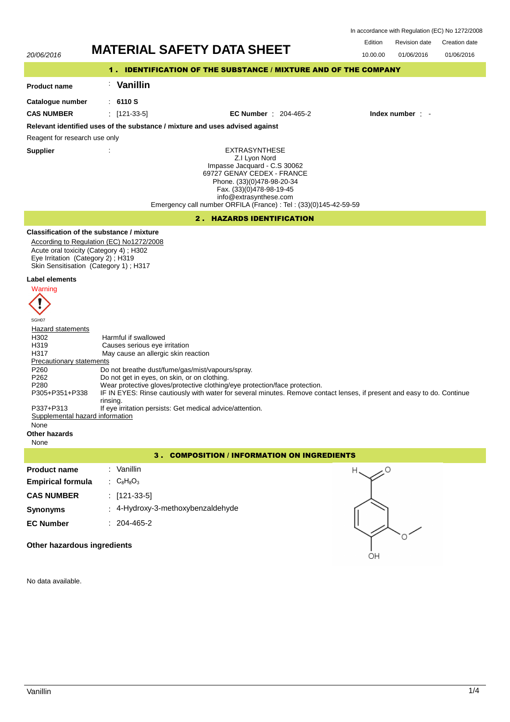In accordance with Regulation (EC) No 1272/2008

|                                                                                                                                                                             | <b>MATERIAL SAFETY DATA SHEET</b>                                                                                                                                                                                                                                                                                                                                                                                                                                                  | Edition  | <b>Revision date</b> | Creation date |  |  |  |  |
|-----------------------------------------------------------------------------------------------------------------------------------------------------------------------------|------------------------------------------------------------------------------------------------------------------------------------------------------------------------------------------------------------------------------------------------------------------------------------------------------------------------------------------------------------------------------------------------------------------------------------------------------------------------------------|----------|----------------------|---------------|--|--|--|--|
| 20/06/2016                                                                                                                                                                  |                                                                                                                                                                                                                                                                                                                                                                                                                                                                                    | 10.00.00 | 01/06/2016           | 01/06/2016    |  |  |  |  |
| 1. IDENTIFICATION OF THE SUBSTANCE / MIXTURE AND OF THE COMPANY                                                                                                             |                                                                                                                                                                                                                                                                                                                                                                                                                                                                                    |          |                      |               |  |  |  |  |
| <b>Product name</b>                                                                                                                                                         | <b>Vanillin</b>                                                                                                                                                                                                                                                                                                                                                                                                                                                                    |          |                      |               |  |  |  |  |
| Catalogue number                                                                                                                                                            | : 6110S                                                                                                                                                                                                                                                                                                                                                                                                                                                                            |          |                      |               |  |  |  |  |
| <b>CAS NUMBER</b>                                                                                                                                                           | $:$ [121-33-5]<br><b>EC Number : 204-465-2</b>                                                                                                                                                                                                                                                                                                                                                                                                                                     |          | Index number : -     |               |  |  |  |  |
|                                                                                                                                                                             | Relevant identified uses of the substance / mixture and uses advised against                                                                                                                                                                                                                                                                                                                                                                                                       |          |                      |               |  |  |  |  |
| Reagent for research use only                                                                                                                                               |                                                                                                                                                                                                                                                                                                                                                                                                                                                                                    |          |                      |               |  |  |  |  |
| <b>Supplier</b>                                                                                                                                                             | <b>EXTRASYNTHESE</b><br>Z.I Lyon Nord<br>Impasse Jacquard - C.S 30062<br>69727 GENAY CEDEX - FRANCE<br>Phone. (33)(0)478-98-20-34<br>Fax. (33)(0)478-98-19-45<br>info@extrasynthese.com<br>Emergency call number ORFILA (France) : Tel : (33)(0)145-42-59-59                                                                                                                                                                                                                       |          |                      |               |  |  |  |  |
|                                                                                                                                                                             | 2. HAZARDS IDENTIFICATION                                                                                                                                                                                                                                                                                                                                                                                                                                                          |          |                      |               |  |  |  |  |
| Eye Irritation (Category 2); H319                                                                                                                                           | Classification of the substance / mixture<br>According to Regulation (EC) No1272/2008<br>Acute oral toxicity (Category 4); H302<br>Skin Sensitisation (Category 1); H317                                                                                                                                                                                                                                                                                                           |          |                      |               |  |  |  |  |
| Label elements<br>Warning<br>SGH07                                                                                                                                          |                                                                                                                                                                                                                                                                                                                                                                                                                                                                                    |          |                      |               |  |  |  |  |
| Hazard statements<br>H302<br>H319<br>H317<br>Precautionary statements<br>P260<br>P <sub>262</sub><br>P280<br>P305+P351+P338<br>P337+P313<br>Supplemental hazard information | Harmful if swallowed<br>Causes serious eye irritation<br>May cause an allergic skin reaction<br>Do not breathe dust/fume/gas/mist/vapours/spray.<br>Do not get in eyes, on skin, or on clothing.<br>Wear protective gloves/protective clothing/eye protection/face protection.<br>IF IN EYES: Rinse cautiously with water for several minutes. Remove contact lenses, if present and easy to do. Continue<br>rinsing.<br>If eye irritation persists: Get medical advice/attention. |          |                      |               |  |  |  |  |

# None

**Other hazards**

None

| <b>COMPOSITION / INFORMATION ON INGREDIENTS</b><br>з. |                                   |    |  |  |  |
|-------------------------------------------------------|-----------------------------------|----|--|--|--|
| <b>Product name</b>                                   | : Vanillin                        |    |  |  |  |
| <b>Empirical formula</b>                              | : $C_8H_8O_3$                     |    |  |  |  |
| <b>CAS NUMBER</b>                                     | : $[121-33-5]$                    |    |  |  |  |
| <b>Synonyms</b>                                       | : 4-Hydroxy-3-methoxybenzaldehyde |    |  |  |  |
| <b>EC Number</b>                                      | $: 204 - 465 - 2$                 |    |  |  |  |
| Other hazardous ingredients                           |                                   | OН |  |  |  |

# **Other hazardous ingredients**

No data available.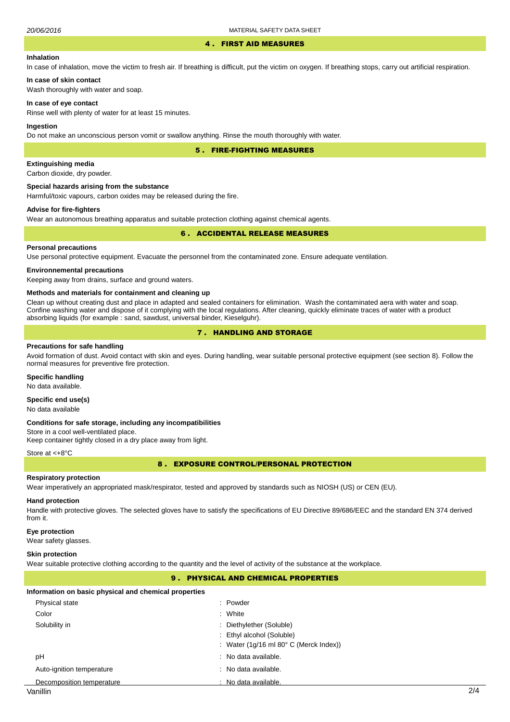#### 4 . FIRST AID MEASURES

#### **Inhalation**

In case of inhalation, move the victim to fresh air. If breathing is difficult, put the victim on oxygen. If breathing stops, carry out artificial respiration.

# **In case of skin contact**

Wash thoroughly with water and soap.

#### **In case of eye contact**

Rinse well with plenty of water for at least 15 minutes.

#### **Ingestion**

Do not make an unconscious person vomit or swallow anything. Rinse the mouth thoroughly with water.

5 . FIRE-FIGHTING MEASURES

#### **Extinguishing media**

Carbon dioxide, dry powder.

#### **Special hazards arising from the substance**

Harmful/toxic vapours, carbon oxides may be released during the fire.

#### **Advise for fire-fighters**

Wear an autonomous breathing apparatus and suitable protection clothing against chemical agents.

#### 6 . ACCIDENTAL RELEASE MEASURES

#### **Personal precautions**

Use personal protective equipment. Evacuate the personnel from the contaminated zone. Ensure adequate ventilation.

#### **Environnemental precautions**

Keeping away from drains, surface and ground waters.

#### **Methods and materials for containment and cleaning up**

Clean up without creating dust and place in adapted and sealed containers for elimination. Wash the contaminated aera with water and soap. Confine washing water and dispose of it complying with the local regulations. After cleaning, quickly eliminate traces of water with a product absorbing liquids (for example : sand, sawdust, universal binder, Kieselguhr).

# 7 . HANDLING AND STORAGE

#### **Precautions for safe handling**

Avoid formation of dust. Avoid contact with skin and eyes. During handling, wear suitable personal protective equipment (see section 8). Follow the normal measures for preventive fire protection.

#### **Specific handling**

No data available.

# **Specific end use(s)**

No data available

#### **Conditions for safe storage, including any incompatibilities**

Store in a cool well-ventilated place. Keep container tightly closed in a dry place away from light.

#### Store at <+8°C

8 . EXPOSURE CONTROL/PERSONAL PROTECTION

#### **Respiratory protection**

Wear imperatively an appropriated mask/respirator, tested and approved by standards such as NIOSH (US) or CEN (EU).

#### **Hand protection**

Handle with protective gloves. The selected gloves have to satisfy the specifications of EU Directive 89/686/EEC and the standard EN 374 derived from it.

#### **Eye protection**

Wear safety glasses.

#### **Skin protection**

Wear suitable protective clothing according to the quantity and the level of activity of the substance at the workplace.

# 9 . PHYSICAL AND CHEMICAL PROPERTIES

#### **Information on basic physical and chemical properties**

| Physical state            | : Powder                                                         |
|---------------------------|------------------------------------------------------------------|
| Color                     | : White                                                          |
| Solubility in             | : Diethylether (Soluble)                                         |
|                           | : Ethyl alcohol (Soluble)                                        |
|                           | : Water $(1q/16 \text{ ml } 80^{\circ} \text{ C}$ (Merck Index)) |
| рH                        | : No data available.                                             |
| Auto-ignition temperature | : No data available.                                             |
| Decomposition temperature | : No data available.                                             |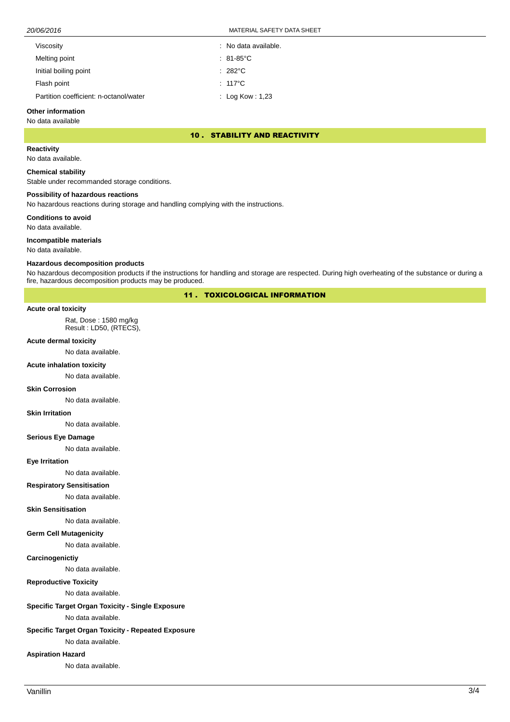20/06/2016 MATERIAL SAFETY DATA SHEET

| Viscosity                              | : No data available. |
|----------------------------------------|----------------------|
| Melting point                          | $: 81-85^{\circ}$ C  |
| Initial boiling point                  | $: 282^{\circ}$ C    |
| Flash point                            | $: 117^{\circ}$ C    |
| Partition coefficient: n-octanol/water | : Log Kow : 1,23     |
|                                        |                      |

# **Other information**

# No data available

#### 10 . STABILITY AND REACTIVITY

**Reactivity**

No data available.

#### **Chemical stability**

Stable under recommanded storage conditions.

#### **Possibility of hazardous reactions**

No hazardous reactions during storage and handling complying with the instructions.

**Conditions to avoid**

No data available.

# **Incompatible materials**

No data available.

#### **Hazardous decomposition products**

No hazardous decomposition products if the instructions for handling and storage are respected. During high overheating of the substance or during a fire, hazardous decomposition products may be produced.

# 11 . TOXICOLOGICAL INFORMATION

#### **Acute oral toxicity**

Rat, Dose : 1580 mg/kg Result : LD50, (RTECS),

# **Acute dermal toxicity**

No data available.

#### **Acute inhalation toxicity**

No data available.

#### **Skin Corrosion**

No data available.

#### **Skin Irritation**

No data available.

#### **Serious Eye Damage**

No data available.

### **Eye Irritation**

No data available.

#### **Respiratory Sensitisation**

No data available.

#### **Skin Sensitisation**

No data available.

### **Germ Cell Mutagenicity**

No data available.

#### **Carcinogenictiy**

No data available.

### **Reproductive Toxicity**

No data available.

# **Specific Target Organ Toxicity - Single Exposure**

No data available.

#### **Specific Target Organ Toxicity - Repeated Exposure**

No data available.

# **Aspiration Hazard**

No data available.